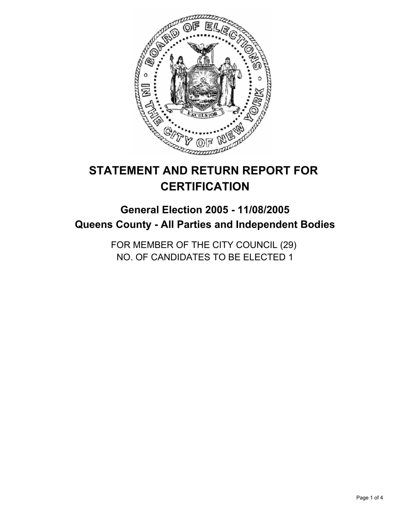

# **STATEMENT AND RETURN REPORT FOR CERTIFICATION**

## **General Election 2005 - 11/08/2005 Queens County - All Parties and Independent Bodies**

FOR MEMBER OF THE CITY COUNCIL (29) NO. OF CANDIDATES TO BE ELECTED 1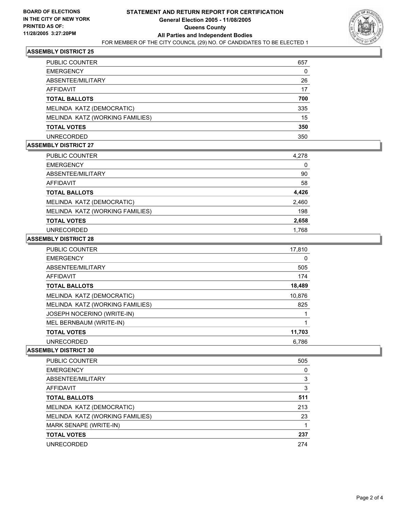

#### **ASSEMBLY DISTRICT 25**

| PUBLIC COUNTER                  | 657 |
|---------------------------------|-----|
| <b>EMERGENCY</b>                |     |
| ABSENTEE/MILITARY               | 26  |
| AFFIDAVIT                       | 17  |
| <b>TOTAL BALLOTS</b>            | 700 |
| MELINDA KATZ (DEMOCRATIC)       | 335 |
| MELINDA KATZ (WORKING FAMILIES) | 15  |
| <b>TOTAL VOTES</b>              | 350 |
| <b>UNRECORDED</b>               | 350 |

#### **ASSEMBLY DISTRICT 27**

| <b>PUBLIC COUNTER</b>           | 4,278 |
|---------------------------------|-------|
| <b>EMERGENCY</b>                | 0     |
| ABSENTEE/MILITARY               | 90    |
| AFFIDAVIT                       | 58    |
| <b>TOTAL BALLOTS</b>            | 4,426 |
| MELINDA KATZ (DEMOCRATIC)       | 2,460 |
| MELINDA KATZ (WORKING FAMILIES) | 198   |
| <b>TOTAL VOTES</b>              | 2,658 |
| <b>UNRECORDED</b>               | 1,768 |

#### **ASSEMBLY DISTRICT 28**

| <b>PUBLIC COUNTER</b>           | 17,810 |
|---------------------------------|--------|
| <b>EMERGENCY</b>                | 0      |
| ABSENTEE/MILITARY               | 505    |
| AFFIDAVIT                       | 174    |
| <b>TOTAL BALLOTS</b>            | 18,489 |
| MELINDA KATZ (DEMOCRATIC)       | 10,876 |
| MELINDA KATZ (WORKING FAMILIES) | 825    |
| JOSEPH NOCERINO (WRITE-IN)      |        |
| MEL BERNBAUM (WRITE-IN)         |        |
| <b>TOTAL VOTES</b>              | 11,703 |
| <b>UNRECORDED</b>               | 6.786  |

#### **ASSEMBLY DISTRICT 30**

| PUBLIC COUNTER                  | 505 |
|---------------------------------|-----|
| <b>EMERGENCY</b>                |     |
| ABSENTEE/MILITARY               | 3   |
| AFFIDAVIT                       |     |
| <b>TOTAL BALLOTS</b>            | 511 |
| MELINDA KATZ (DEMOCRATIC)       | 213 |
| MELINDA KATZ (WORKING FAMILIES) | 23  |
| MARK SENAPE (WRITE-IN)          |     |
| <b>TOTAL VOTES</b>              | 237 |
| <b>UNRECORDED</b>               | 274 |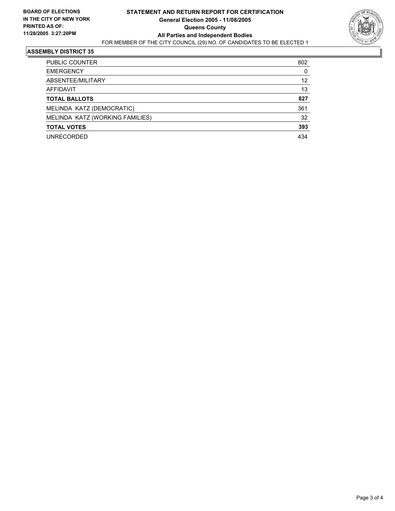

#### **ASSEMBLY DISTRICT 35**

| <b>PUBLIC COUNTER</b>           | 802 |
|---------------------------------|-----|
| <b>EMERGENCY</b>                | 0   |
| ABSENTEE/MILITARY               | 12  |
| AFFIDAVIT                       | 13  |
| <b>TOTAL BALLOTS</b>            | 827 |
| MELINDA KATZ (DEMOCRATIC)       | 361 |
| MELINDA KATZ (WORKING FAMILIES) | 32  |
| <b>TOTAL VOTES</b>              | 393 |
| <b>UNRECORDED</b>               | 434 |